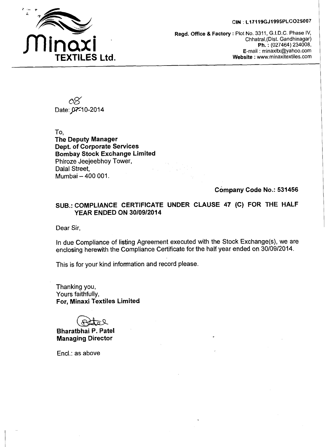## **CIN** : **L17119GJl995PCC025007**



**Regd. Office** & **Factory** : Plot No. 3311, G.I.D.C. Phase IV, Chhatral,(Dist. Gandhinagar) **Ph.** : (027464) 234008, E-mail : minaxitx@yahoo.com **Website** : www,minaxitextiles.com

Date: 07-10-2014

To, **The Deputy Manager Dept. of Corporate Services Bombay Stock Exchange Limited**  Phiroze Jeejeebhoy Tower, Dalal Street, Mumbai - 400 001.

**Company Code No.: 531456** 

## **SUB.: COMPLIANCE CERTIFICATE UNDER CLAUSE 47 (C) FOR THE HALF YEAR ENDED ON 30/09/2014**

Dear Sir,

In due Compliance of listing Agreement executed with the Stock Exchange(s), we are enclosing herewith the Compliance Certificate for the half year ended on 30/09/2014.

This is for your kind information and record please.

Thanking you, Yours faithfully, **For, Minaxi Textiles Limited** 

**Bharatbhai P. Patel Managing Director** 

Encl.: as above